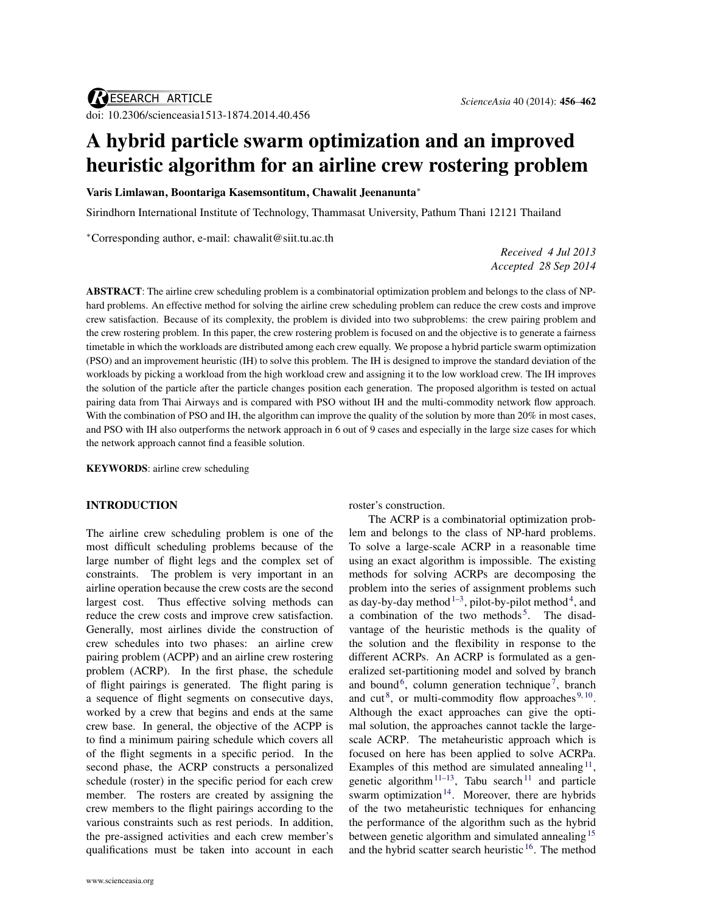# A hybrid particle swarm optimization and an improved heuristic algorithm for an airline crew rostering problem

Varis Limlawan, Boontariga Kasemsontitum, Chawalit Jeenanunta<sup>∗</sup>

Sirindhorn International Institute of Technology, Thammasat University, Pathum Thani 12121 Thailand

<sup>∗</sup>Corresponding author, e-mail: [chawalit@siit.tu.ac.th](mailto:chawalit@siit.tu.ac.th)

*Received 4 Jul 2013 Accepted 28 Sep 2014*

ABSTRACT: The airline crew scheduling problem is a combinatorial optimization problem and belongs to the class of NPhard problems. An effective method for solving the airline crew scheduling problem can reduce the crew costs and improve crew satisfaction. Because of its complexity, the problem is divided into two subproblems: the crew pairing problem and the crew rostering problem. In this paper, the crew rostering problem is focused on and the objective is to generate a fairness timetable in which the workloads are distributed among each crew equally. We propose a hybrid particle swarm optimization (PSO) and an improvement heuristic (IH) to solve this problem. The IH is designed to improve the standard deviation of the workloads by picking a workload from the high workload crew and assigning it to the low workload crew. The IH improves the solution of the particle after the particle changes position each generation. The proposed algorithm is tested on actual pairing data from Thai Airways and is compared with PSO without IH and the multi-commodity network flow approach. With the combination of PSO and IH, the algorithm can improve the quality of the solution by more than 20% in most cases, and PSO with IH also outperforms the network approach in 6 out of 9 cases and especially in the large size cases for which the network approach cannot find a feasible solution.

KEYWORDS: airline crew scheduling

### INTRODUCTION

The airline crew scheduling problem is one of the most difficult scheduling problems because of the large number of flight legs and the complex set of constraints. The problem is very important in an airline operation because the crew costs are the second largest cost. Thus effective solving methods can reduce the crew costs and improve crew satisfaction. Generally, most airlines divide the construction of crew schedules into two phases: an airline crew pairing problem (ACPP) and an airline crew rostering problem (ACRP). In the first phase, the schedule of flight pairings is generated. The flight paring is a sequence of flight segments on consecutive days, worked by a crew that begins and ends at the same crew base. In general, the objective of the ACPP is to find a minimum pairing schedule which covers all of the flight segments in a specific period. In the second phase, the ACRP constructs a personalized schedule (roster) in the specific period for each crew member. The rosters are created by assigning the crew members to the flight pairings according to the various constraints such as rest periods. In addition, the pre-assigned activities and each crew member's qualifications must be taken into account in each

roster's construction.

The ACRP is a combinatorial optimization problem and belongs to the class of NP-hard problems. To solve a large-scale ACRP in a reasonable time using an exact algorithm is impossible. The existing methods for solving ACRPs are decomposing the problem into the series of assignment problems such as day-by-day method  $1-3$  $1-3$ , pilot-by-pilot method  $4$ , and a combination of the two methods<sup>[5](#page-5-4)</sup>. The disadvantage of the heuristic methods is the quality of the solution and the flexibility in response to the different ACRPs. An ACRP is formulated as a generalized set-partitioning model and solved by branch and bound<sup>[6](#page-5-5)</sup>, column generation technique<sup>[7](#page-5-6)</sup>, branch and cut<sup>[8](#page-5-7)</sup>, or multi-commodity flow approaches<sup>[9,](#page-6-0)[10](#page-6-1)</sup>. Although the exact approaches can give the optimal solution, the approaches cannot tackle the largescale ACRP. The metaheuristic approach which is focused on here has been applied to solve ACRPa. Examples of this method are simulated annealing<sup>[11](#page-6-2)</sup>, genetic algorithm<sup>[11–](#page-6-2)[13](#page-6-3)</sup>, Tabu search<sup>[11](#page-6-2)</sup> and particle swarm optimization<sup>[14](#page-6-4)</sup>. Moreover, there are hybrids of the two metaheuristic techniques for enhancing the performance of the algorithm such as the hybrid between genetic algorithm and simulated annealing<sup>[15](#page-6-5)</sup> and the hybrid scatter search heuristic [16](#page-6-6). The method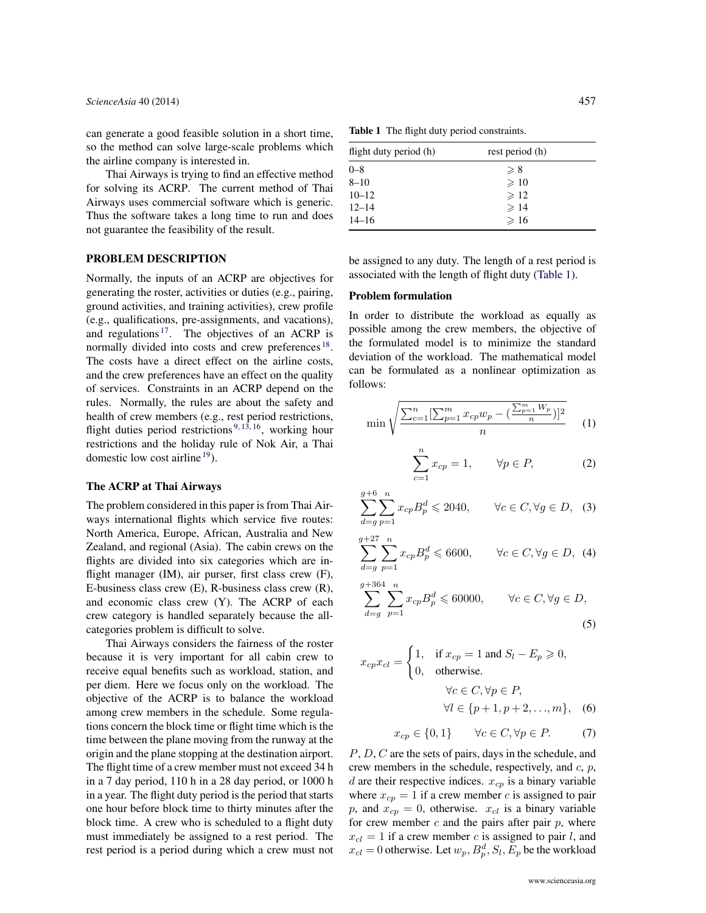can generate a good feasible solution in a short time, so the method can solve large-scale problems which the airline company is interested in.

Thai Airways is trying to find an effective method for solving its ACRP. The current method of Thai Airways uses commercial software which is generic. Thus the software takes a long time to run and does not guarantee the feasibility of the result.

### PROBLEM DESCRIPTION

Normally, the inputs of an ACRP are objectives for generating the roster, activities or duties (e.g., pairing, ground activities, and training activities), crew profile (e.g., qualifications, pre-assignments, and vacations), and regulations  $17$ . The objectives of an ACRP is normally divided into costs and crew preferences<sup>[18](#page-6-8)</sup>. The costs have a direct effect on the airline costs, and the crew preferences have an effect on the quality of services. Constraints in an ACRP depend on the rules. Normally, the rules are about the safety and health of crew members (e.g., rest period restrictions, flight duties period restrictions<sup>[9,](#page-6-0) [13,](#page-6-3) [16](#page-6-6)</sup>, working hour restrictions and the holiday rule of Nok Air, a Thai domestic low cost airline  $19$ ).

### The ACRP at Thai Airways

The problem considered in this paper is from Thai Airways international flights which service five routes: North America, Europe, African, Australia and New Zealand, and regional (Asia). The cabin crews on the flights are divided into six categories which are inflight manager (IM), air purser, first class crew (F), E-business class crew (E), R-business class crew (R), and economic class crew (Y). The ACRP of each crew category is handled separately because the allcategories problem is difficult to solve.

Thai Airways considers the fairness of the roster because it is very important for all cabin crew to receive equal benefits such as workload, station, and per diem. Here we focus only on the workload. The objective of the ACRP is to balance the workload among crew members in the schedule. Some regulations concern the block time or flight time which is the time between the plane moving from the runway at the origin and the plane stopping at the destination airport. The flight time of a crew member must not exceed 34 h in a 7 day period, 110 h in a 28 day period, or 1000 h in a year. The flight duty period is the period that starts one hour before block time to thirty minutes after the block time. A crew who is scheduled to a flight duty must immediately be assigned to a rest period. The rest period is a period during which a crew must not

<span id="page-1-0"></span>Table 1 The flight duty period constraints.

| flight duty period (h) | rest period (h) |  |
|------------------------|-----------------|--|
| $0 - 8$                | $\geqslant 8$   |  |
| $8 - 10$               | $\geqslant$ 10  |  |
| $10 - 12$              | $\geqslant$ 12  |  |
| $12 - 14$              | $\geqslant$ 14  |  |
| $14 - 16$              | $\geqslant$ 16  |  |

be assigned to any duty. The length of a rest period is associated with the length of flight duty [\(Table 1\)](#page-1-0).

## Problem formulation

In order to distribute the workload as equally as possible among the crew members, the objective of the formulated model is to minimize the standard deviation of the workload. The mathematical model can be formulated as a nonlinear optimization as follows:

<span id="page-1-1"></span>
$$
\min \sqrt{\frac{\sum_{c=1}^{n} [\sum_{p=1}^{m} x_{cp} w_p - (\frac{\sum_{p=1}^{m} W_p}{n})]^2}{n}} \tag{1}
$$

<span id="page-1-2"></span>
$$
\sum_{c=1}^{n} x_{cp} = 1, \qquad \forall p \in P, \tag{2}
$$

<span id="page-1-3"></span>
$$
\sum_{d=g}^{g+6} \sum_{p=1}^{n} x_{cp} B_p^d \leq 2040, \qquad \forall c \in C, \forall g \in D, \quad (3)
$$

$$
\sum_{d=g}^{g+27} \sum_{p=1}^{n} x_{cp} B_p^d \leq 6600, \qquad \forall c \in C, \forall g \in D, \tag{4}
$$

<span id="page-1-4"></span>
$$
\sum_{d=g}^{g+364} \sum_{p=1}^{n} x_{cp} B_p^d \leq 60000, \qquad \forall c \in C, \forall g \in D,
$$
\n
$$
(5)
$$

$$
x_{cp}x_{cl} = \begin{cases} 1, & \text{if } x_{cp} = 1 \text{ and } S_l - E_p \ge 0, \\ 0, & \text{otherwise.} \end{cases}
$$

$$
\forall c \in C, \forall p \in P, \\ \forall l \in \{p+1, p+2, ..., m\}, \quad (6)
$$

<span id="page-1-6"></span><span id="page-1-5"></span>
$$
x_{cp} \in \{0, 1\} \qquad \forall c \in C, \forall p \in P. \tag{7}
$$

P, D, C are the sets of pairs, days in the schedule, and crew members in the schedule, respectively, and  $c$ ,  $p$ , d are their respective indices.  $x_{cp}$  is a binary variable where  $x_{cp} = 1$  if a crew member c is assigned to pair p, and  $x_{cp} = 0$ , otherwise.  $x_{cl}$  is a binary variable for crew member  $c$  and the pairs after pair  $p$ , where  $x_{cl} = 1$  if a crew member c is assigned to pair l, and  $x_{cl} = 0$  otherwise. Let  $w_p$ ,  $B_p^d$ ,  $S_l$ ,  $E_p$  be the workload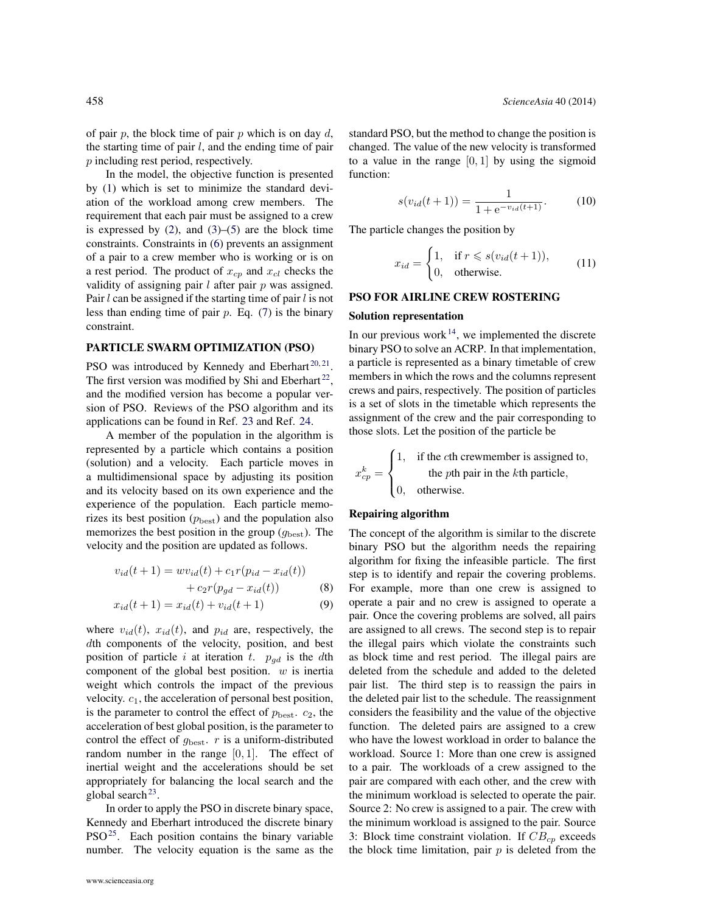of pair  $p$ , the block time of pair  $p$  which is on day  $d$ , the starting time of pair  $l$ , and the ending time of pair p including rest period, respectively.

In the model, the objective function is presented by [\(1\)](#page-1-1) which is set to minimize the standard deviation of the workload among crew members. The requirement that each pair must be assigned to a crew is expressed by  $(2)$ , and  $(3)$ – $(5)$  are the block time constraints. Constraints in [\(6\)](#page-1-5) prevents an assignment of a pair to a crew member who is working or is on a rest period. The product of  $x_{cp}$  and  $x_{cl}$  checks the validity of assigning pair  $l$  after pair  $p$  was assigned. Pair  $l$  can be assigned if the starting time of pair  $l$  is not less than ending time of pair  $p$ . Eq. [\(7\)](#page-1-6) is the binary constraint.

### PARTICLE SWARM OPTIMIZATION (PSO)

PSO was introduced by Kennedy and Eberhart $^{20,21}$  $^{20,21}$  $^{20,21}$  $^{20,21}$ . The first version was modified by Shi and Eberhart<sup>[22](#page-6-12)</sup>, and the modified version has become a popular version of PSO. Reviews of the PSO algorithm and its applications can be found in Ref. [23](#page-6-13) and Ref. [24.](#page-6-14)

A member of the population in the algorithm is represented by a particle which contains a position (solution) and a velocity. Each particle moves in a multidimensional space by adjusting its position and its velocity based on its own experience and the experience of the population. Each particle memorizes its best position  $(p_{best})$  and the population also memorizes the best position in the group  $(g_{\text{best}})$ . The velocity and the position are updated as follows.

$$
v_{id}(t+1) = w v_{id}(t) + c_1 r (p_{id} - x_{id}(t)) + c_2 r (p_{gd} - x_{id}(t))
$$
 (8)

$$
x_{id}(t+1) = x_{id}(t) + v_{id}(t+1)
$$
 (9)

where  $v_{id}(t)$ ,  $x_{id}(t)$ , and  $p_{id}$  are, respectively, the dth components of the velocity, position, and best position of particle i at iteration t.  $p_{qd}$  is the dth component of the global best position.  $w$  is inertial weight which controls the impact of the previous velocity.  $c_1$ , the acceleration of personal best position, is the parameter to control the effect of  $p_{best}$ .  $c_2$ , the acceleration of best global position, is the parameter to control the effect of  $g_{\text{best}}$ . r is a uniform-distributed random number in the range  $[0, 1]$ . The effect of inertial weight and the accelerations should be set appropriately for balancing the local search and the global search $^{23}$  $^{23}$  $^{23}$ .

In order to apply the PSO in discrete binary space, Kennedy and Eberhart introduced the discrete binary PSO<sup>[25](#page-6-15)</sup>. Each position contains the binary variable number. The velocity equation is the same as the standard PSO, but the method to change the position is changed. The value of the new velocity is transformed to a value in the range  $[0, 1]$  by using the sigmoid function:

<span id="page-2-0"></span>
$$
s(v_{id}(t+1)) = \frac{1}{1 + e^{-v_{id}(t+1)}}.
$$
 (10)

The particle changes the position by

<span id="page-2-1"></span>
$$
x_{id} = \begin{cases} 1, & \text{if } r \le s(v_{id}(t+1)), \\ 0, & \text{otherwise.} \end{cases}
$$
 (11)

### PSO FOR AIRLINE CREW ROSTERING

### Solution representation

In our previous work $14$ , we implemented the discrete binary PSO to solve an ACRP. In that implementation, a particle is represented as a binary timetable of crew members in which the rows and the columns represent crews and pairs, respectively. The position of particles is a set of slots in the timetable which represents the assignment of the crew and the pair corresponding to those slots. Let the position of the particle be

$$
x_{cp}^{k} = \begin{cases} 1, & \text{if the cth crewmember is assigned to, \\ & \text{the pth pair in the kth particle, \\ 0, & \text{otherwise.} \end{cases}
$$

# Repairing algorithm

The concept of the algorithm is similar to the discrete binary PSO but the algorithm needs the repairing algorithm for fixing the infeasible particle. The first step is to identify and repair the covering problems. For example, more than one crew is assigned to operate a pair and no crew is assigned to operate a pair. Once the covering problems are solved, all pairs are assigned to all crews. The second step is to repair the illegal pairs which violate the constraints such as block time and rest period. The illegal pairs are deleted from the schedule and added to the deleted pair list. The third step is to reassign the pairs in the deleted pair list to the schedule. The reassignment considers the feasibility and the value of the objective function. The deleted pairs are assigned to a crew who have the lowest workload in order to balance the workload. Source 1: More than one crew is assigned to a pair. The workloads of a crew assigned to the pair are compared with each other, and the crew with the minimum workload is selected to operate the pair. Source 2: No crew is assigned to a pair. The crew with the minimum workload is assigned to the pair. Source 3: Block time constraint violation. If  $CB_{cp}$  exceeds the block time limitation, pair  $p$  is deleted from the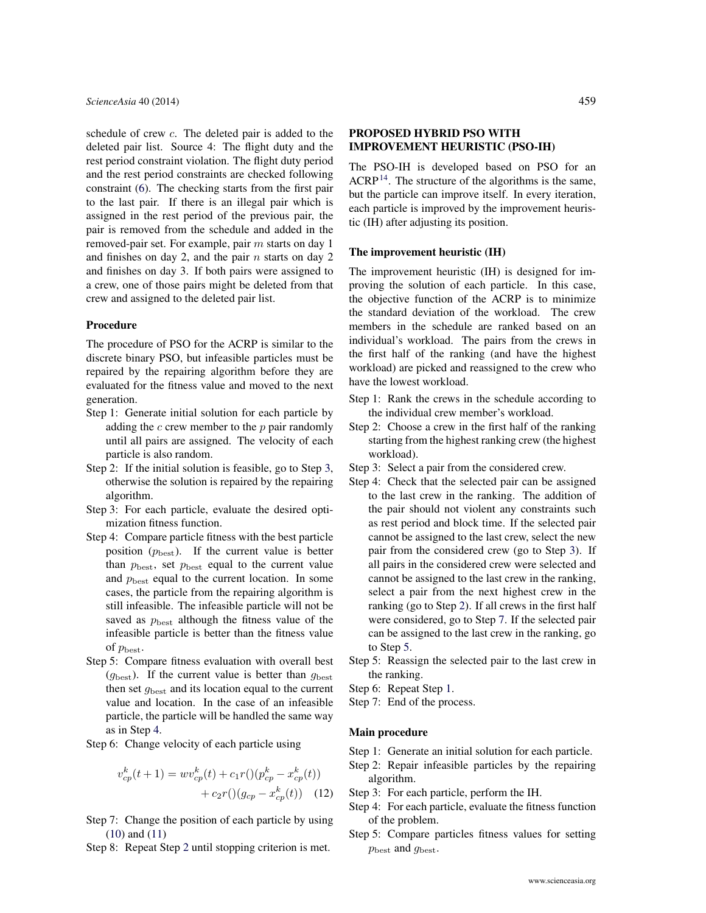schedule of crew c. The deleted pair is added to the deleted pair list. Source 4: The flight duty and the rest period constraint violation. The flight duty period and the rest period constraints are checked following constraint [\(6\)](#page-1-5). The checking starts from the first pair to the last pair. If there is an illegal pair which is assigned in the rest period of the previous pair, the pair is removed from the schedule and added in the removed-pair set. For example, pair m starts on day 1 and finishes on day 2, and the pair  $n$  starts on day 2 and finishes on day 3. If both pairs were assigned to a crew, one of those pairs might be deleted from that crew and assigned to the deleted pair list.

## Procedure

The procedure of PSO for the ACRP is similar to the discrete binary PSO, but infeasible particles must be repaired by the repairing algorithm before they are evaluated for the fitness value and moved to the next generation.

- Step 1: Generate initial solution for each particle by adding the  $c$  crew member to the  $p$  pair randomly until all pairs are assigned. The velocity of each particle is also random.
- <span id="page-3-2"></span>Step 2: If the initial solution is feasible, go to Step [3,](#page-3-0) otherwise the solution is repaired by the repairing algorithm.
- <span id="page-3-0"></span>Step 3: For each particle, evaluate the desired optimization fitness function.
- <span id="page-3-1"></span>Step 4: Compare particle fitness with the best particle position  $(p_{\text{best}})$ . If the current value is better than  $p_{\text{best}}$ , set  $p_{\text{best}}$  equal to the current value and  $p_{\text{best}}$  equal to the current location. In some cases, the particle from the repairing algorithm is still infeasible. The infeasible particle will not be saved as  $p_{\text{best}}$  although the fitness value of the infeasible particle is better than the fitness value of  $p_{\text{best}}$ .
- Step 5: Compare fitness evaluation with overall best  $(g_{\text{best}})$ . If the current value is better than  $g_{\text{best}}$ then set  $g_{\text{best}}$  and its location equal to the current value and location. In the case of an infeasible particle, the particle will be handled the same way as in Step [4.](#page-3-1)
- Step 6: Change velocity of each particle using

$$
v_{cp}^k(t+1) = w v_{cp}^k(t) + c_1 r \left( \right) \left( p_{cp}^k - x_{cp}^k(t) \right) + c_2 r \left( \right) \left( g_{cp} - x_{cp}^k(t) \right) \tag{12}
$$

- Step 7: Change the position of each particle by using [\(10\)](#page-2-0) and [\(11\)](#page-2-1)
- Step 8: Repeat Step [2](#page-3-2) until stopping criterion is met.

# PROPOSED HYBRID PSO WITH IMPROVEMENT HEURISTIC (PSO-IH)

The PSO-IH is developed based on PSO for an  $ACRP<sup>14</sup>$  $ACRP<sup>14</sup>$  $ACRP<sup>14</sup>$ . The structure of the algorithms is the same, but the particle can improve itself. In every iteration, each particle is improved by the improvement heuristic (IH) after adjusting its position.

## The improvement heuristic (IH)

The improvement heuristic (IH) is designed for improving the solution of each particle. In this case, the objective function of the ACRP is to minimize the standard deviation of the workload. The crew members in the schedule are ranked based on an individual's workload. The pairs from the crews in the first half of the ranking (and have the highest workload) are picked and reassigned to the crew who have the lowest workload.

- <span id="page-3-7"></span>Step 1: Rank the crews in the schedule according to the individual crew member's workload.
- <span id="page-3-4"></span>Step 2: Choose a crew in the first half of the ranking starting from the highest ranking crew (the highest workload).
- <span id="page-3-3"></span>Step 3: Select a pair from the considered crew.
- Step 4: Check that the selected pair can be assigned to the last crew in the ranking. The addition of the pair should not violent any constraints such as rest period and block time. If the selected pair cannot be assigned to the last crew, select the new pair from the considered crew (go to Step [3\)](#page-3-3). If all pairs in the considered crew were selected and cannot be assigned to the last crew in the ranking, select a pair from the next highest crew in the ranking (go to Step [2\)](#page-3-4). If all crews in the first half were considered, go to Step [7.](#page-3-5) If the selected pair can be assigned to the last crew in the ranking, go to Step [5.](#page-3-6)
- <span id="page-3-6"></span>Step 5: Reassign the selected pair to the last crew in the ranking.
- Step 6: Repeat Step [1.](#page-3-7)
- <span id="page-3-5"></span>Step 7: End of the process.

### Main procedure

- Step 1: Generate an initial solution for each particle.
- Step 2: Repair infeasible particles by the repairing algorithm.
- <span id="page-3-8"></span>Step 3: For each particle, perform the IH.
- Step 4: For each particle, evaluate the fitness function of the problem.
- Step 5: Compare particles fitness values for setting  $p_{\text{best}}$  and  $g_{\text{best}}$ .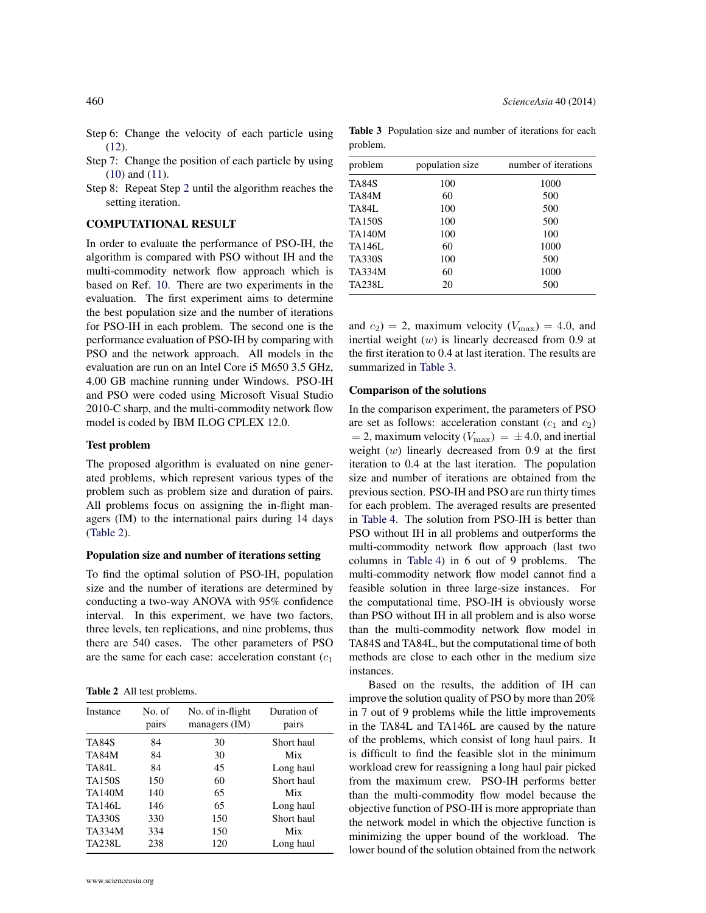- Step 6: Change the velocity of each particle using [\(12\)](#page-3-8).
- Step 7: Change the position of each particle by using [\(10\)](#page-2-0) and [\(11\)](#page-2-1).
- Step 8: Repeat Step [2](#page-3-4) until the algorithm reaches the setting iteration.

### COMPUTATIONAL RESULT

In order to evaluate the performance of PSO-IH, the algorithm is compared with PSO without IH and the multi-commodity network flow approach which is based on Ref. [10.](#page-6-1) There are two experiments in the evaluation. The first experiment aims to determine the best population size and the number of iterations for PSO-IH in each problem. The second one is the performance evaluation of PSO-IH by comparing with PSO and the network approach. All models in the evaluation are run on an Intel Core i5 M650 3.5 GHz, 4.00 GB machine running under Windows. PSO-IH and PSO were coded using Microsoft Visual Studio 2010-C sharp, and the multi-commodity network flow model is coded by IBM ILOG CPLEX 12.0.

## Test problem

The proposed algorithm is evaluated on nine generated problems, which represent various types of the problem such as problem size and duration of pairs. All problems focus on assigning the in-flight managers (IM) to the international pairs during 14 days [\(Table 2\)](#page-4-0).

# Population size and number of iterations setting

To find the optimal solution of PSO-IH, population size and the number of iterations are determined by conducting a two-way ANOVA with 95% confidence interval. In this experiment, we have two factors, three levels, ten replications, and nine problems, thus there are 540 cases. The other parameters of PSO are the same for each case: acceleration constant  $(c_1)$ 

<span id="page-4-0"></span>Table 2 All test problems.

| Instance      | No. of<br>pairs | No. of in-flight<br>managers (IM) | Duration of<br>pairs |
|---------------|-----------------|-----------------------------------|----------------------|
| TA84S         | 84              | 30                                | Short haul           |
| TA84M         | 84              | 30                                | Mix                  |
| <b>TA84L</b>  | 84              | 45                                | Long haul            |
| <b>TA150S</b> | 150             | 60                                | Short haul           |
| <b>TA140M</b> | 140             | 65                                | Mix                  |
| TA146L        | 146             | 65                                | Long haul            |
| <b>TA330S</b> | 330             | 150                               | Short haul           |
| <b>TA334M</b> | 334             | 150                               | Mix                  |
| TA238L        | 238             | 120                               | Long haul            |

<span id="page-4-1"></span>Table 3 Population size and number of iterations for each problem.

| problem<br>population size |     | number of iterations |  |  |
|----------------------------|-----|----------------------|--|--|
| TA84S                      | 100 | 1000                 |  |  |
| <b>TA84M</b>               | 60  | 500                  |  |  |
| TA84L                      | 100 | 500                  |  |  |
| <b>TA150S</b>              | 100 | 500                  |  |  |
| <b>TA140M</b>              | 100 | 100                  |  |  |
| TA146L                     | 60  | 1000                 |  |  |
| <b>TA330S</b>              | 100 | 500                  |  |  |
| <b>TA334M</b>              | 60  | 1000                 |  |  |
| <b>TA238L</b>              | 20  | 500                  |  |  |

and  $c_2$ ) = 2, maximum velocity ( $V_{\text{max}}$ ) = 4.0, and inertial weight  $(w)$  is linearly decreased from 0.9 at the first iteration to 0.4 at last iteration. The results are summarized in [Table 3.](#page-4-1)

#### Comparison of the solutions

In the comparison experiment, the parameters of PSO are set as follows: acceleration constant  $(c_1 \text{ and } c_2)$  $= 2$ , maximum velocity ( $V_{\text{max}}$ ) =  $\pm$  4.0, and inertial weight  $(w)$  linearly decreased from 0.9 at the first iteration to 0.4 at the last iteration. The population size and number of iterations are obtained from the previous section. PSO-IH and PSO are run thirty times for each problem. The averaged results are presented in [Table 4.](#page-5-8) The solution from PSO-IH is better than PSO without IH in all problems and outperforms the multi-commodity network flow approach (last two columns in [Table 4\)](#page-5-8) in 6 out of 9 problems. The multi-commodity network flow model cannot find a feasible solution in three large-size instances. For the computational time, PSO-IH is obviously worse than PSO without IH in all problem and is also worse than the multi-commodity network flow model in TA84S and TA84L, but the computational time of both methods are close to each other in the medium size instances.

Based on the results, the addition of IH can improve the solution quality of PSO by more than 20% in 7 out of 9 problems while the little improvements in the TA84L and TA146L are caused by the nature of the problems, which consist of long haul pairs. It is difficult to find the feasible slot in the minimum workload crew for reassigning a long haul pair picked from the maximum crew. PSO-IH performs better than the multi-commodity flow model because the objective function of PSO-IH is more appropriate than the network model in which the objective function is minimizing the upper bound of the workload. The lower bound of the solution obtained from the network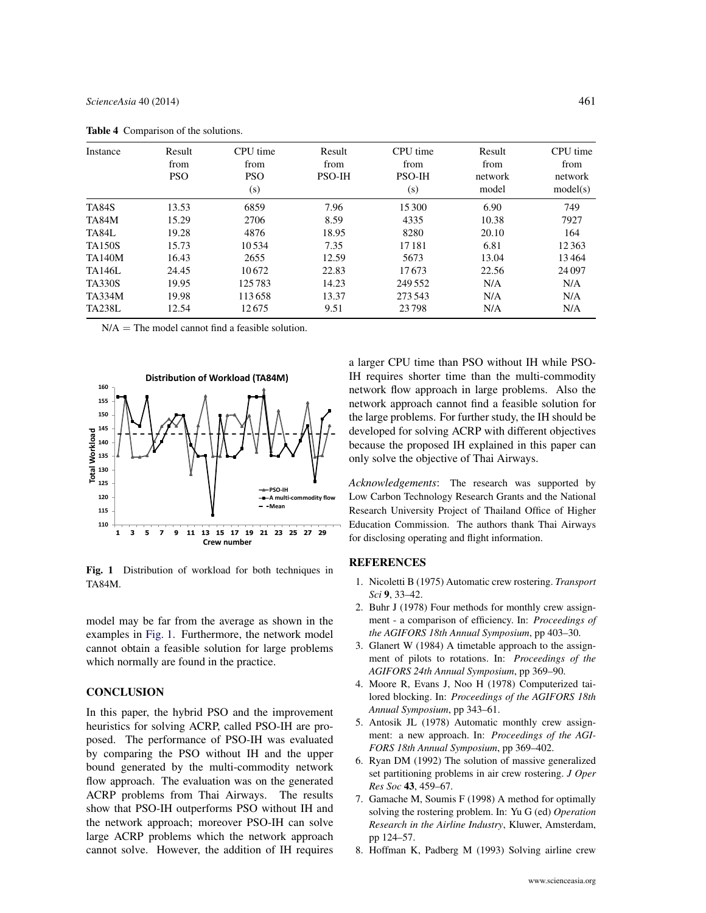| Instance      | Result<br>from<br><b>PSO</b> | CPU time<br>from<br><b>PSO</b><br>(s) | Result<br>from<br><b>PSO-IH</b> | CPU time<br>from<br><b>PSO-IH</b><br>(s) | Result<br>from<br>network<br>model | CPU time<br>from<br>network<br>model(s) |
|---------------|------------------------------|---------------------------------------|---------------------------------|------------------------------------------|------------------------------------|-----------------------------------------|
| <b>TA84S</b>  | 13.53                        | 6859                                  | 7.96                            | 15 300                                   | 6.90                               | 749                                     |
| TA84M         | 15.29                        | 2706                                  | 8.59                            | 4335                                     | 10.38                              | 7927                                    |
| TA84L         | 19.28                        | 4876                                  | 18.95                           | 8280                                     | 20.10                              | 164                                     |
| <b>TA150S</b> | 15.73                        | 10534                                 | 7.35                            | 17181                                    | 6.81                               | 12363                                   |
| <b>TA140M</b> | 16.43                        | 2655                                  | 12.59                           | 5673                                     | 13.04                              | 13464                                   |
| <b>TA146L</b> | 24.45                        | 10672                                 | 22.83                           | 17673                                    | 22.56                              | 24097                                   |
| <b>TA330S</b> | 19.95                        | 125783                                | 14.23                           | 249 552                                  | N/A                                | N/A                                     |
| <b>TA334M</b> | 19.98                        | 113658                                | 13.37                           | 273.543                                  | N/A                                | N/A                                     |
| <b>TA238L</b> | 12.54                        | 12675                                 | 9.51                            | 23798                                    | N/A                                | N/A                                     |

<span id="page-5-8"></span>Table 4 Comparison of the solutions.

 $N/A$  = The model cannot find a feasible solution.

<span id="page-5-9"></span>

Fig. 1 Distribution of workload for both techniques in TA84M.

model may be far from the average as shown in the examples in [Fig. 1.](#page-5-9) Furthermore, the network model cannot obtain a feasible solution for large problems which normally are found in the practice.

# **CONCLUSION**

In this paper, the hybrid PSO and the improvement heuristics for solving ACRP, called PSO-IH are proposed. The performance of PSO-IH was evaluated by comparing the PSO without IH and the upper bound generated by the multi-commodity network flow approach. The evaluation was on the generated ACRP problems from Thai Airways. The results show that PSO-IH outperforms PSO without IH and the network approach; moreover PSO-IH can solve large ACRP problems which the network approach cannot solve. However, the addition of IH requires

a larger CPU time than PSO without IH while PSO-IH requires shorter time than the multi-commodity network flow approach in large problems. Also the network approach cannot find a feasible solution for the large problems. For further study, the IH should be developed for solving ACRP with different objectives because the proposed IH explained in this paper can only solve the objective of Thai Airways.

*Acknowledgements*: The research was supported by Low Carbon Technology Research Grants and the National Research University Project of Thailand Office of Higher Education Commission. The authors thank Thai Airways for disclosing operating and flight information.

# **REFERENCES**

- <span id="page-5-1"></span><span id="page-5-0"></span>1. [Nicoletti B \(1975\) Automatic crew rostering.](http://dx.doi.org/10.1287/trsc.9.1.33) *Transport Sci* 9[, 33–42.](http://dx.doi.org/10.1287/trsc.9.1.33)
- 2. Buhr J (1978) Four methods for monthly crew assignment - a comparison of efficiency. In: *Proceedings of the AGIFORS 18th Annual Symposium*, pp 403–30.
- <span id="page-5-2"></span>3. Glanert W (1984) A timetable approach to the assignment of pilots to rotations. In: *Proceedings of the AGIFORS 24th Annual Symposium*, pp 369–90.
- <span id="page-5-3"></span>4. Moore R, Evans J, Noo H (1978) Computerized tailored blocking. In: *Proceedings of the AGIFORS 18th Annual Symposium*, pp 343–61.
- <span id="page-5-4"></span>5. Antosik JL (1978) Automatic monthly crew assignment: a new approach. In: *Proceedings of the AGI-FORS 18th Annual Symposium*, pp 369–402.
- <span id="page-5-5"></span>6. [Ryan DM \(1992\) The solution of massive generalized](http://dx.doi.org/10.2307/2583565) [set partitioning problems in air crew rostering.](http://dx.doi.org/10.2307/2583565) *J Oper Res Soc* 43[, 459–67.](http://dx.doi.org/10.2307/2583565)
- <span id="page-5-6"></span>7. [Gamache M, Soumis F \(1998\) A method for optimally](http://dx.doi.org/10.1007/978-1-4615-5501-8_5) [solving the rostering problem. In: Yu G \(ed\)](http://dx.doi.org/10.1007/978-1-4615-5501-8_5) *Operation [Research in the Airline Industry](http://dx.doi.org/10.1007/978-1-4615-5501-8_5)*, Kluwer, Amsterdam, [pp 124–57.](http://dx.doi.org/10.1007/978-1-4615-5501-8_5)
- <span id="page-5-7"></span>8. [Hoffman K, Padberg M \(1993\) Solving airline crew](http://dx.doi.org/10.1287/mnsc.39.6.657)